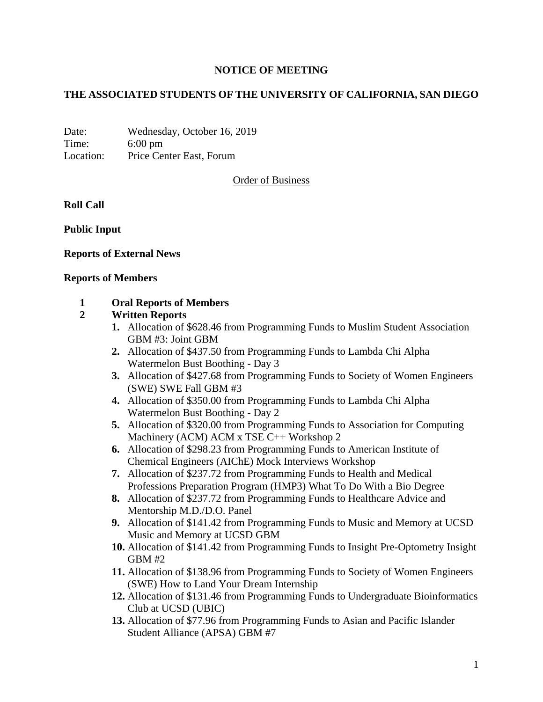## **NOTICE OF MEETING**

## **THE ASSOCIATED STUDENTS OF THE UNIVERSITY OF CALIFORNIA, SAN DIEGO**

Date: Wednesday, October 16, 2019 Time: 6:00 pm Location: Price Center East, Forum

Order of Business

### **Roll Call**

**Public Input**

### **Reports of External News**

#### **Reports of Members**

### **1 Oral Reports of Members**

### **2 Written Reports**

- **1.** Allocation of \$628.46 from Programming Funds to Muslim Student Association GBM #3: Joint GBM
- **2.** Allocation of \$437.50 from Programming Funds to Lambda Chi Alpha Watermelon Bust Boothing - Day 3
- **3.** Allocation of \$427.68 from Programming Funds to Society of Women Engineers (SWE) SWE Fall GBM #3
- **4.** Allocation of \$350.00 from Programming Funds to Lambda Chi Alpha Watermelon Bust Boothing - Day 2
- **5.** Allocation of \$320.00 from Programming Funds to Association for Computing Machinery (ACM) ACM x TSE C++ Workshop 2
- **6.** Allocation of \$298.23 from Programming Funds to American Institute of Chemical Engineers (AIChE) Mock Interviews Workshop
- **7.** Allocation of \$237.72 from Programming Funds to Health and Medical Professions Preparation Program (HMP3) What To Do With a Bio Degree
- **8.** Allocation of \$237.72 from Programming Funds to Healthcare Advice and Mentorship M.D./D.O. Panel
- **9.** Allocation of \$141.42 from Programming Funds to Music and Memory at UCSD Music and Memory at UCSD GBM
- **10.** Allocation of \$141.42 from Programming Funds to Insight Pre-Optometry Insight  $GBM#2$
- **11.** Allocation of \$138.96 from Programming Funds to Society of Women Engineers (SWE) How to Land Your Dream Internship
- **12.** Allocation of \$131.46 from Programming Funds to Undergraduate Bioinformatics Club at UCSD (UBIC)
- **13.** Allocation of \$77.96 from Programming Funds to Asian and Pacific Islander Student Alliance (APSA) GBM #7